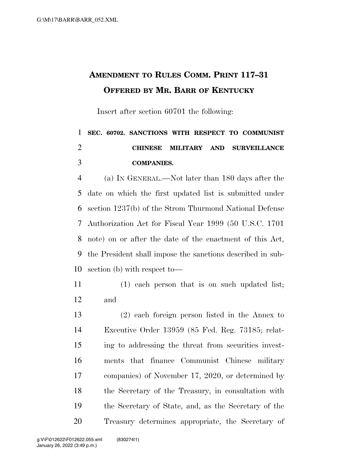## **AMENDMENT TO RULES COMM. PRINT 117–31 OFFERED BY MR. BARR OF KENTUCKY**

Insert after section 60701 the following:

## **SEC. 60702. SANCTIONS WITH RESPECT TO COMMUNIST CHINESE MILITARY AND SURVEILLANCE COMPANIES.**

 (a) IN GENERAL.—Not later than 180 days after the date on which the first updated list is submitted under section 1237(b) of the Strom Thurmond National Defense Authorization Act for Fiscal Year 1999 (50 U.S.C. 1701 note) on or after the date of the enactment of this Act, the President shall impose the sanctions described in sub-section (b) with respect to—

 (1) each person that is on such updated list; and

 (2) each foreign person listed in the Annex to Executive Order 13959 (85 Fed. Reg. 73185; relat- ing to addressing the threat from securities invest- ments that finance Communist Chinese military companies) of November 17, 2020, or determined by the Secretary of the Treasury, in consultation with the Secretary of State, and, as the Secretary of the Treasury determines appropriate, the Secretary of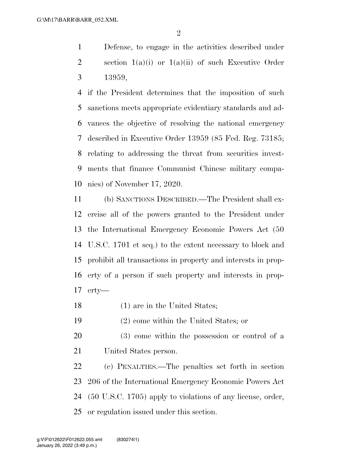Defense, to engage in the activities described under 2 section  $1(a)(i)$  or  $1(a)(ii)$  of such Executive Order 13959,

 if the President determines that the imposition of such sanctions meets appropriate evidentiary standards and ad- vances the objective of resolving the national emergency described in Executive Order 13959 (85 Fed. Reg. 73185; relating to addressing the threat from securities invest- ments that finance Communist Chinese military compa-nies) of November 17, 2020.

 (b) SANCTIONS DESCRIBED.—The President shall ex- ercise all of the powers granted to the President under the International Emergency Economic Powers Act (50 U.S.C. 1701 et seq.) to the extent necessary to block and prohibit all transactions in property and interests in prop- erty of a person if such property and interests in prop-erty—

- (1) are in the United States;
- (2) come within the United States; or
- (3) come within the possession or control of a United States person.

 (c) PENALTIES.—The penalties set forth in section 206 of the International Emergency Economic Powers Act (50 U.S.C. 1705) apply to violations of any license, order, or regulation issued under this section.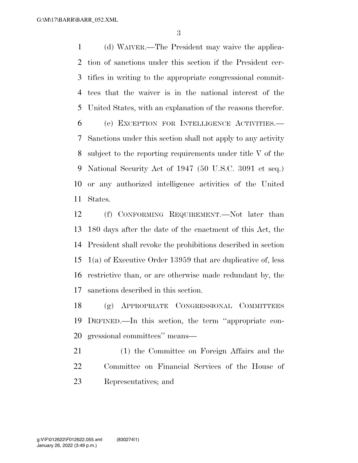(d) WAIVER.—The President may waive the applica- tion of sanctions under this section if the President cer- tifies in writing to the appropriate congressional commit- tees that the waiver is in the national interest of the United States, with an explanation of the reasons therefor.

 (e) EXCEPTION FOR INTELLIGENCE ACTIVITIES.— Sanctions under this section shall not apply to any activity subject to the reporting requirements under title V of the National Security Act of 1947 (50 U.S.C. 3091 et seq.) or any authorized intelligence activities of the United States.

 (f) CONFORMING REQUIREMENT.—Not later than 180 days after the date of the enactment of this Act, the President shall revoke the prohibitions described in section 1(a) of Executive Order 13959 that are duplicative of, less restrictive than, or are otherwise made redundant by, the sanctions described in this section.

 (g) APPROPRIATE CONGRESSIONAL COMMITTEES DEFINED.—In this section, the term ''appropriate con-gressional committees'' means—

 (1) the Committee on Foreign Affairs and the Committee on Financial Services of the House of Representatives; and